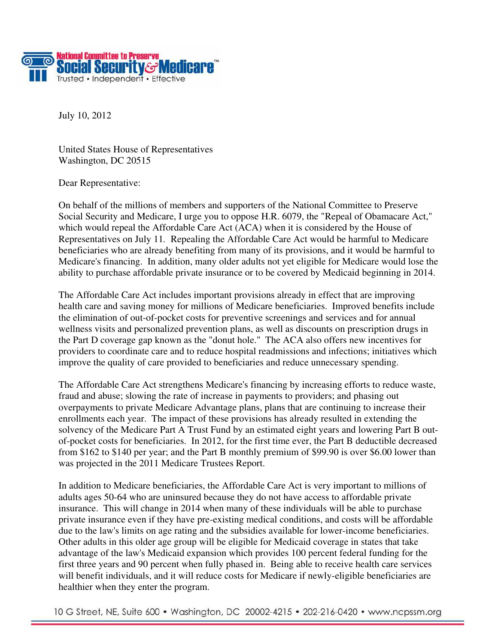

July 10, 2012

United States House of Representatives Washington, DC 20515

Dear Representative:

On behalf of the millions of members and supporters of the National Committee to Preserve Social Security and Medicare, I urge you to oppose H.R. 6079, the "Repeal of Obamacare Act," which would repeal the Affordable Care Act (ACA) when it is considered by the House of Representatives on July 11*.* Repealing the Affordable Care Act would be harmful to Medicare beneficiaries who are already benefiting from many of its provisions, and it would be harmful to Medicare's financing. In addition, many older adults not yet eligible for Medicare would lose the ability to purchase affordable private insurance or to be covered by Medicaid beginning in 2014.

The Affordable Care Act includes important provisions already in effect that are improving health care and saving money for millions of Medicare beneficiaries.Improved benefits include the elimination of out-of-pocket costs for preventive screenings and services and for annual wellness visits and personalized prevention plans, as well as discounts on prescription drugs in the Part D coverage gap known as the "donut hole." The ACA also offers new incentives for providers to coordinate care and to reduce hospital readmissions and infections; initiatives which improve the quality of care provided to beneficiaries and reduce unnecessary spending.

The Affordable Care Act strengthens Medicare's financing by increasing efforts to reduce waste, fraud and abuse; slowing the rate of increase in payments to providers; and phasing out overpayments to private Medicare Advantage plans, plans that are continuing to increase their enrollments each year. The impact of these provisions has already resulted in extending the solvency of the Medicare Part A Trust Fund by an estimated eight years and lowering Part B outof-pocket costs for beneficiaries. In 2012, for the first time ever, the Part B deductible decreased from \$162 to \$140 per year; and the Part B monthly premium of \$99.90 is over \$6.00 lower than was projected in the 2011 Medicare Trustees Report.

In addition to Medicare beneficiaries, the Affordable Care Act is very important to millions of adults ages 50-64 who are uninsured because they do not have access to affordable private insurance. This will change in 2014 when many of these individuals will be able to purchase private insurance even if they have pre-existing medical conditions, and costs will be affordable due to the law's limits on age rating and the subsidies available for lower-income beneficiaries. Other adults in this older age group will be eligible for Medicaid coverage in states that take advantage of the law's Medicaid expansion which provides 100 percent federal funding for the first three years and 90 percent when fully phased in. Being able to receive health care services will benefit individuals, and it will reduce costs for Medicare if newly-eligible beneficiaries are healthier when they enter the program.

10 G Street, NE, Suite 600 • Washington, DC 20002-4215 • 202-216-0420 • www.ncpssm.org